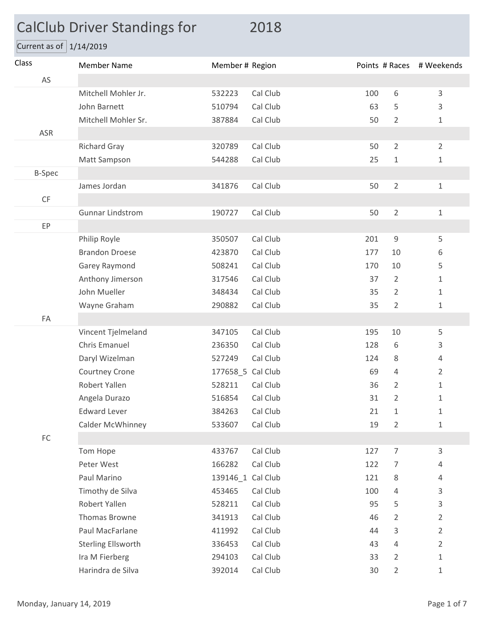## CalClub Driver Standings for 2018

Current as of  $\boxed{1/14/2019}$ 

| Class                  | <b>Member Name</b>        | Member # Region   |          |     |                | Points # Races # Weekends |
|------------------------|---------------------------|-------------------|----------|-----|----------------|---------------------------|
| AS                     |                           |                   |          |     |                |                           |
|                        | Mitchell Mohler Jr.       | 532223            | Cal Club | 100 | 6              | 3                         |
|                        | John Barnett              | 510794            | Cal Club | 63  | 5              | 3                         |
|                        | Mitchell Mohler Sr.       | 387884            | Cal Club | 50  | $\overline{2}$ | 1                         |
| ASR                    |                           |                   |          |     |                |                           |
|                        | <b>Richard Gray</b>       | 320789            | Cal Club | 50  | $\overline{2}$ | $\overline{2}$            |
|                        | Matt Sampson              | 544288            | Cal Club | 25  | $1\,$          | $\mathbf{1}$              |
| <b>B-Spec</b>          |                           |                   |          |     |                |                           |
|                        | James Jordan              | 341876            | Cal Club | 50  | $\overline{2}$ | $\mathbf 1$               |
| $\mathsf{C}\mathsf{F}$ |                           |                   |          |     |                |                           |
|                        | <b>Gunnar Lindstrom</b>   | 190727            | Cal Club | 50  | $\overline{2}$ | $\mathbf{1}$              |
| EP                     |                           |                   |          |     |                |                           |
|                        | Philip Royle              | 350507            | Cal Club | 201 | $\mathsf 9$    | 5                         |
|                        | <b>Brandon Droese</b>     | 423870            | Cal Club | 177 | 10             | 6                         |
|                        | Garey Raymond             | 508241            | Cal Club | 170 | 10             | 5                         |
|                        | Anthony Jimerson          | 317546            | Cal Club | 37  | $\overline{2}$ | 1                         |
|                        | John Mueller              | 348434            | Cal Club | 35  | $\overline{2}$ | $\mathbf{1}$              |
|                        | Wayne Graham              | 290882            | Cal Club | 35  | $\overline{2}$ | 1                         |
| FA                     |                           |                   |          |     |                |                           |
|                        | Vincent Tjelmeland        | 347105            | Cal Club | 195 | 10             | 5                         |
|                        | Chris Emanuel             | 236350            | Cal Club | 128 | 6              | 3                         |
|                        | Daryl Wizelman            | 527249            | Cal Club | 124 | 8              | 4                         |
|                        | Courtney Crone            | 177658 5 Cal Club |          | 69  | 4              | $\overline{2}$            |
|                        | Robert Yallen             | 528211            | Cal Club | 36  | 2              | 1                         |
|                        | Angela Durazo             | 516854            | Cal Club | 31  | $\overline{2}$ | 1                         |
|                        | <b>Edward Lever</b>       | 384263 Cal Club   |          | 21  | $\mathbf{1}$   | 1                         |
|                        | Calder McWhinney          | 533607            | Cal Club | 19  | $\overline{2}$ | $\mathbf 1$               |
| ${\sf FC}$             |                           |                   |          |     |                |                           |
|                        | Tom Hope                  | 433767            | Cal Club | 127 | $\overline{7}$ | 3                         |
|                        | Peter West                | 166282            | Cal Club | 122 | 7              | 4                         |
|                        | Paul Marino               | 139146_1 Cal Club |          | 121 | 8              | 4                         |
|                        | Timothy de Silva          | 453465            | Cal Club | 100 | 4              | 3                         |
|                        | Robert Yallen             | 528211            | Cal Club | 95  | 5              | 3                         |
|                        | Thomas Browne             | 341913            | Cal Club | 46  | 2              | $\overline{2}$            |
|                        | Paul MacFarlane           | 411992            | Cal Club | 44  | 3              | $\overline{2}$            |
|                        | <b>Sterling Ellsworth</b> | 336453            | Cal Club | 43  | 4              | $\overline{2}$            |
|                        | Ira M Fierberg            | 294103            | Cal Club | 33  | $\overline{2}$ | 1                         |
|                        | Harindra de Silva         | 392014            | Cal Club | 30  | $\overline{2}$ | $\mathbf{1}$              |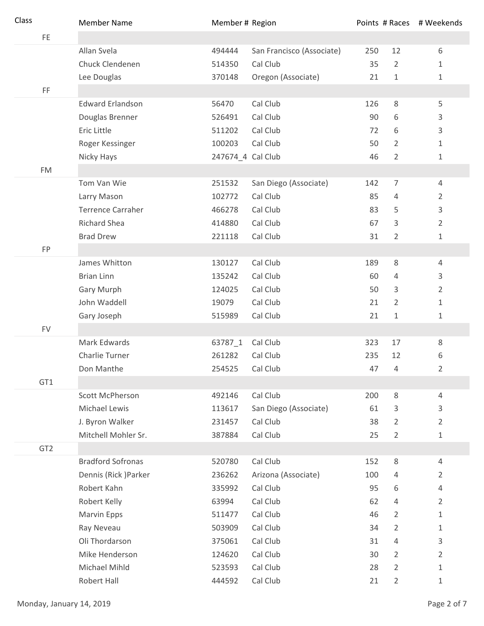| Class           | <b>Member Name</b>       | Member # Region   |                           |     |                | Points # Races # Weekends |
|-----------------|--------------------------|-------------------|---------------------------|-----|----------------|---------------------------|
| FE.             |                          |                   |                           |     |                |                           |
|                 | Allan Svela              | 494444            | San Francisco (Associate) | 250 | 12             | 6                         |
|                 | Chuck Clendenen          | 514350            | Cal Club                  | 35  | $\overline{2}$ | $\mathbf{1}$              |
|                 | Lee Douglas              | 370148            | Oregon (Associate)        | 21  | 1              | 1                         |
| FF              |                          |                   |                           |     |                |                           |
|                 | <b>Edward Erlandson</b>  | 56470             | Cal Club                  | 126 | 8              | 5                         |
|                 | Douglas Brenner          | 526491            | Cal Club                  | 90  | 6              | 3                         |
|                 | Eric Little              | 511202            | Cal Club                  | 72  | 6              | 3                         |
|                 | Roger Kessinger          | 100203            | Cal Club                  | 50  | $\overline{2}$ | 1                         |
|                 | Nicky Hays               | 247674_4 Cal Club |                           | 46  | $\overline{2}$ | 1                         |
| <b>FM</b>       |                          |                   |                           |     |                |                           |
|                 | Tom Van Wie              | 251532            | San Diego (Associate)     | 142 | 7              | 4                         |
|                 | Larry Mason              | 102772            | Cal Club                  | 85  | 4              | 2                         |
|                 | <b>Terrence Carraher</b> | 466278            | Cal Club                  | 83  | 5              | 3                         |
|                 | <b>Richard Shea</b>      | 414880            | Cal Club                  | 67  | 3              | $\overline{2}$            |
|                 | <b>Brad Drew</b>         | 221118            | Cal Club                  | 31  | $\overline{2}$ | 1                         |
| FP              |                          |                   |                           |     |                |                           |
|                 | James Whitton            | 130127            | Cal Club                  | 189 | 8              | 4                         |
|                 | <b>Brian Linn</b>        | 135242            | Cal Club                  | 60  | 4              | 3                         |
|                 | Gary Murph               | 124025            | Cal Club                  | 50  | 3              | $\overline{2}$            |
|                 | John Waddell             | 19079             | Cal Club                  | 21  | $\overline{2}$ | 1                         |
|                 | Gary Joseph              | 515989            | Cal Club                  | 21  | $\mathbf{1}$   | 1                         |
| <b>FV</b>       |                          |                   |                           |     |                |                           |
|                 | Mark Edwards             | 63787_1           | Cal Club                  | 323 | 17             | 8                         |
|                 | Charlie Turner           | 261282            | Cal Club                  | 235 | 12             | 6                         |
|                 | Don Manthe               | 254525            | Cal Club                  | 47  | $\overline{4}$ | 2                         |
| GT1             |                          |                   |                           |     |                |                           |
|                 | Scott McPherson          | 492146            | Cal Club                  | 200 | 8              | 4                         |
|                 | Michael Lewis            | 113617            | San Diego (Associate)     | 61  | 3              | 3                         |
|                 | J. Byron Walker          | 231457            | Cal Club                  | 38  | 2              | $\overline{2}$            |
|                 | Mitchell Mohler Sr.      | 387884            | Cal Club                  | 25  | 2              | 1                         |
| GT <sub>2</sub> |                          |                   |                           |     |                |                           |
|                 | <b>Bradford Sofronas</b> | 520780            | Cal Club                  | 152 | 8              | 4                         |
|                 | Dennis (Rick) Parker     | 236262            | Arizona (Associate)       | 100 | 4              | 2                         |
|                 | Robert Kahn              | 335992            | Cal Club                  | 95  | 6              | 4                         |
|                 | Robert Kelly             | 63994             | Cal Club                  | 62  | 4              | 2                         |
|                 | Marvin Epps              | 511477            | Cal Club                  | 46  | $\overline{2}$ | 1                         |
|                 | Ray Neveau               | 503909            | Cal Club                  | 34  | $\overline{2}$ | 1                         |
|                 | Oli Thordarson           | 375061            | Cal Club                  | 31  | 4              | 3                         |
|                 | Mike Henderson           | 124620            | Cal Club                  | 30  | 2              | 2                         |
|                 | Michael Mihld            | 523593            | Cal Club                  | 28  | $\overline{2}$ | 1                         |
|                 | Robert Hall              | 444592            | Cal Club                  | 21  | $\overline{2}$ | 1                         |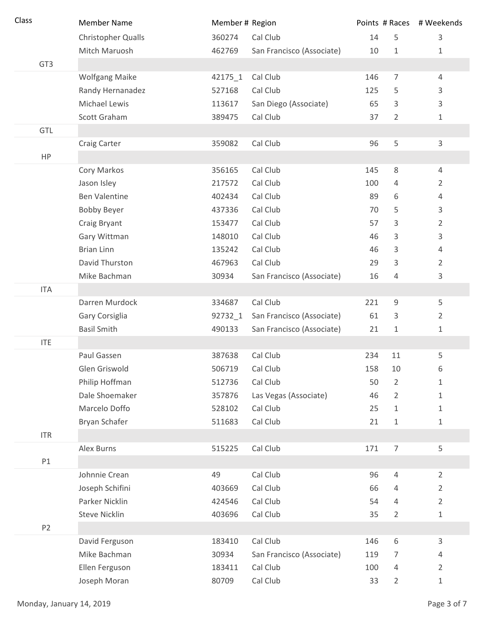| Class           | <b>Member Name</b>        | Member # Region |                           |     |                | Points # Races # Weekends |
|-----------------|---------------------------|-----------------|---------------------------|-----|----------------|---------------------------|
|                 | <b>Christopher Qualls</b> | 360274          | Cal Club                  | 14  | 5              | 3                         |
|                 | Mitch Maruosh             | 462769          | San Francisco (Associate) | 10  | $\mathbf 1$    | 1                         |
| GT <sub>3</sub> |                           |                 |                           |     |                |                           |
|                 | <b>Wolfgang Maike</b>     | 42175_1         | Cal Club                  | 146 | $\overline{7}$ | 4                         |
|                 | Randy Hernanadez          | 527168          | Cal Club                  | 125 | 5              | 3                         |
|                 | Michael Lewis             | 113617          | San Diego (Associate)     | 65  | 3              | 3                         |
|                 | Scott Graham              | 389475          | Cal Club                  | 37  | $\overline{2}$ | 1                         |
| GTL             |                           |                 |                           |     |                |                           |
|                 | Craig Carter              | 359082          | Cal Club                  | 96  | 5              | $\mathsf{3}$              |
| HP              |                           |                 |                           |     |                |                           |
|                 | Cory Markos               | 356165          | Cal Club                  | 145 | 8              | 4                         |
|                 | Jason Isley               | 217572          | Cal Club                  | 100 | 4              | $\overline{2}$            |
|                 | <b>Ben Valentine</b>      | 402434          | Cal Club                  | 89  | 6              | 4                         |
|                 | <b>Bobby Beyer</b>        | 437336          | Cal Club                  | 70  | 5              | 3                         |
|                 | Craig Bryant              | 153477          | Cal Club                  | 57  | 3              | 2                         |
|                 | Gary Wittman              | 148010          | Cal Club                  | 46  | 3              | 3                         |
|                 | <b>Brian Linn</b>         | 135242          | Cal Club                  | 46  | 3              | 4                         |
|                 | David Thurston            | 467963          | Cal Club                  | 29  | 3              | $\overline{2}$            |
|                 | Mike Bachman              | 30934           | San Francisco (Associate) | 16  | 4              | 3                         |
| <b>ITA</b>      |                           |                 |                           |     |                |                           |
|                 | Darren Murdock            | 334687          | Cal Club                  | 221 | 9              | 5                         |
|                 | Gary Corsiglia            | 92732_1         | San Francisco (Associate) | 61  | 3              | 2                         |
|                 | <b>Basil Smith</b>        | 490133          | San Francisco (Associate) | 21  | $\mathbf 1$    | 1                         |
| <b>ITE</b>      |                           |                 |                           |     |                |                           |
|                 | Paul Gassen               | 387638          | Cal Club                  | 234 | 11             | 5                         |
|                 | Glen Griswold             | 506719          | Cal Club                  | 158 | 10             | 6                         |
|                 | Philip Hoffman            | 512736          | Cal Club                  | 50  | $\overline{2}$ | $\mathbf{1}$              |
|                 | Dale Shoemaker            | 357876          | Las Vegas (Associate)     | 46  | $\overline{2}$ | 1                         |
|                 | Marcelo Doffo             | 528102          | Cal Club                  | 25  | 1              | 1                         |
|                 | Bryan Schafer             | 511683          | Cal Club                  | 21  | 1              | 1                         |
| <b>ITR</b>      |                           |                 |                           |     |                |                           |
|                 | Alex Burns                | 515225          | Cal Club                  | 171 | $\overline{7}$ | 5                         |
| P1              |                           |                 |                           |     |                |                           |
|                 | Johnnie Crean             | 49              | Cal Club                  | 96  | 4              | $\overline{2}$            |
|                 | Joseph Schifini           | 403669          | Cal Club                  | 66  | 4              | $\overline{2}$            |
|                 | Parker Nicklin            | 424546          | Cal Club                  | 54  | 4              | $\overline{2}$            |
|                 | Steve Nicklin             | 403696          | Cal Club                  | 35  | 2              | 1                         |
| P <sub>2</sub>  |                           |                 |                           |     |                |                           |
|                 | David Ferguson            | 183410          | Cal Club                  | 146 | 6              | 3                         |
|                 | Mike Bachman              | 30934           | San Francisco (Associate) | 119 | 7              | 4                         |
|                 | Ellen Ferguson            | 183411          | Cal Club                  | 100 | 4              | $\overline{2}$            |
|                 | Joseph Moran              | 80709           | Cal Club                  | 33  | $\overline{2}$ | 1                         |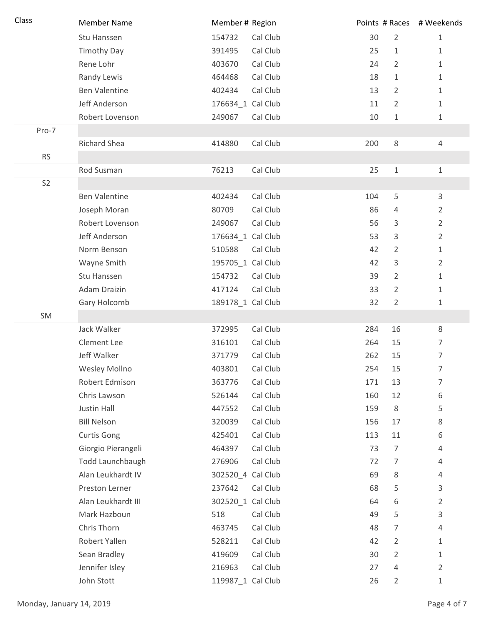| Class          | <b>Member Name</b>      | Member # Region    | Points # Races # Weekends |                |
|----------------|-------------------------|--------------------|---------------------------|----------------|
|                | Stu Hanssen             | Cal Club<br>154732 | $\overline{2}$<br>30      | $\mathbf{1}$   |
|                | <b>Timothy Day</b>      | Cal Club<br>391495 | 25<br>$\mathbf 1$         | $\mathbf{1}$   |
|                | Rene Lohr               | 403670<br>Cal Club | $\overline{2}$<br>24      | $1\,$          |
|                | Randy Lewis             | Cal Club<br>464468 | 18<br>1                   | $\mathbf{1}$   |
|                | <b>Ben Valentine</b>    | Cal Club<br>402434 | 13<br>$\overline{2}$      | $\mathbf{1}$   |
|                | Jeff Anderson           | 176634_1 Cal Club  | $\overline{2}$<br>11      | $\mathbf{1}$   |
|                | Robert Lovenson         | 249067<br>Cal Club | $\mathbf 1$<br>10         | $\mathbf{1}$   |
| Pro-7          |                         |                    |                           |                |
|                | <b>Richard Shea</b>     | Cal Club<br>414880 | $\,8\,$<br>200            | $\overline{4}$ |
| <b>RS</b>      |                         |                    |                           |                |
|                | Rod Susman              | Cal Club<br>76213  | 25<br>$\mathbf{1}$        | $\mathbf{1}$   |
| S <sub>2</sub> |                         |                    |                           |                |
|                | <b>Ben Valentine</b>    | Cal Club<br>402434 | 5<br>104                  | $\mathsf{3}$   |
|                | Joseph Moran            | Cal Club<br>80709  | 86<br>4                   | $\overline{2}$ |
|                | Robert Lovenson         | Cal Club<br>249067 | 56<br>3                   | $\overline{2}$ |
|                | Jeff Anderson           | 176634_1 Cal Club  | 53<br>3                   | $\overline{2}$ |
|                | Norm Benson             | 510588<br>Cal Club | $\overline{2}$<br>42      | $\mathbf{1}$   |
|                | Wayne Smith             | 195705_1 Cal Club  | 42<br>3                   | $\overline{2}$ |
|                | Stu Hanssen             | Cal Club<br>154732 | $\overline{2}$<br>39      | $\mathbf{1}$   |
|                | Adam Draizin            | Cal Club<br>417124 | 33<br>$\overline{2}$      | $\mathbf{1}$   |
|                | Gary Holcomb            | 189178_1 Cal Club  | 32<br>$\overline{2}$      | $\mathbf{1}$   |
| SM             |                         |                    |                           |                |
|                | Jack Walker             | Cal Club<br>372995 | 284<br>16                 | 8              |
|                | Clement Lee             | 316101<br>Cal Club | 15<br>264                 | $\overline{7}$ |
|                | Jeff Walker             | Cal Club<br>371779 | 262<br>15                 | $\overline{7}$ |
|                | Wesley Mollno           | Cal Club<br>403801 | 254<br>15                 | 7              |
|                | Robert Edmison          | Cal Club<br>363776 | 171<br>13                 | $\overline{7}$ |
|                | Chris Lawson            | Cal Club<br>526144 | 12<br>160                 | 6              |
|                | Justin Hall             | Cal Club<br>447552 | 8<br>159                  | 5              |
|                | <b>Bill Nelson</b>      | Cal Club<br>320039 | 156<br>17                 | 8              |
|                | <b>Curtis Gong</b>      | Cal Club<br>425401 | 113<br>11                 | 6              |
|                | Giorgio Pierangeli      | Cal Club<br>464397 | 73<br>$\overline{7}$      | 4              |
|                | <b>Todd Launchbaugh</b> | 276906<br>Cal Club | 72<br>7                   | 4              |
|                | Alan Leukhardt IV       | 302520_4 Cal Club  | 69<br>8                   | 4              |
|                | Preston Lerner          | 237642<br>Cal Club | 68<br>5                   | 3              |
|                | Alan Leukhardt III      | 302520_1 Cal Club  | 6<br>64                   | $\overline{2}$ |
|                | Mark Hazboun            | 518<br>Cal Club    | 5<br>49                   | 3              |
|                | Chris Thorn             | Cal Club<br>463745 | 7<br>48                   | 4              |
|                | Robert Yallen           | Cal Club<br>528211 | 42<br>$\overline{2}$      | 1              |
|                | Sean Bradley            | Cal Club<br>419609 | $\overline{2}$<br>30      | $\mathbf{1}$   |
|                | Jennifer Isley          | Cal Club<br>216963 | 4<br>27                   | $\overline{2}$ |
|                | John Stott              | 119987_1 Cal Club  | 26<br>$\overline{2}$      | 1              |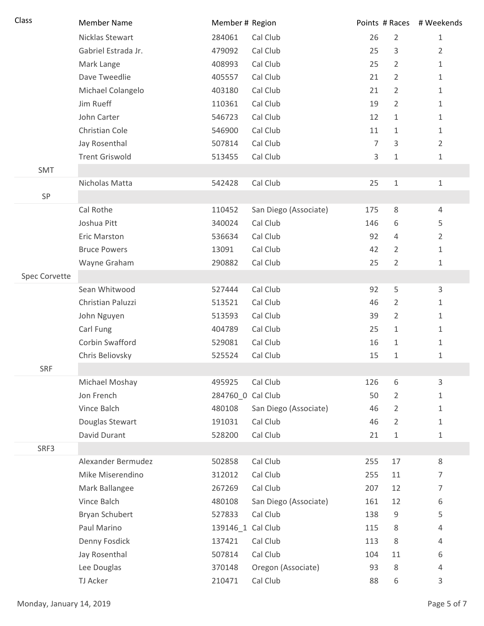| Class         | <b>Member Name</b>    | Member # Region   |                       |                |                | Points # Races # Weekends |
|---------------|-----------------------|-------------------|-----------------------|----------------|----------------|---------------------------|
|               | Nicklas Stewart       | 284061            | Cal Club              | 26             | $\overline{2}$ | $\mathbf{1}$              |
|               | Gabriel Estrada Jr.   | 479092            | Cal Club              | 25             | 3              | $\overline{2}$            |
|               | Mark Lange            | 408993            | Cal Club              | 25             | $\overline{2}$ | $\mathbf{1}$              |
|               | Dave Tweedlie         | 405557            | Cal Club              | 21             | $\overline{2}$ | 1                         |
|               | Michael Colangelo     | 403180            | Cal Club              | 21             | $\overline{2}$ | 1                         |
|               | Jim Rueff             | 110361            | Cal Club              | 19             | $\overline{2}$ | 1                         |
|               | John Carter           | 546723            | Cal Club              | 12             | $\mathbf{1}$   | 1                         |
|               | Christian Cole        | 546900            | Cal Club              | 11             | $\mathbf{1}$   | 1                         |
|               | Jay Rosenthal         | 507814            | Cal Club              | $\overline{7}$ | $\mathsf{3}$   | $\overline{2}$            |
|               | <b>Trent Griswold</b> | 513455            | Cal Club              | 3              | 1              | 1                         |
| SMT           |                       |                   |                       |                |                |                           |
|               | Nicholas Matta        | 542428            | Cal Club              | 25             | $\,1\,$        | $\mathbf{1}$              |
| SP            |                       |                   |                       |                |                |                           |
|               | Cal Rothe             | 110452            | San Diego (Associate) | 175            | $\,8\,$        | 4                         |
|               | Joshua Pitt           | 340024            | Cal Club              | 146            | 6              | 5                         |
|               | <b>Eric Marston</b>   | 536634            | Cal Club              | 92             | $\overline{4}$ | $\overline{2}$            |
|               | <b>Bruce Powers</b>   | 13091             | Cal Club              | 42             | $\overline{2}$ | 1                         |
|               | Wayne Graham          | 290882            | Cal Club              | 25             | $\overline{2}$ | 1                         |
| Spec Corvette |                       |                   |                       |                |                |                           |
|               | Sean Whitwood         | 527444            | Cal Club              | 92             | 5              | 3                         |
|               | Christian Paluzzi     | 513521            | Cal Club              | 46             | $\overline{2}$ | 1                         |
|               | John Nguyen           | 513593            | Cal Club              | 39             | $\overline{2}$ | 1                         |
|               | Carl Fung             | 404789            | Cal Club              | 25             | 1              | 1                         |
|               | Corbin Swafford       | 529081            | Cal Club              | 16             | 1              | 1                         |
|               | Chris Beliovsky       | 525524            | Cal Club              | 15             | 1              | 1                         |
| <b>SRF</b>    |                       |                   |                       |                |                |                           |
|               | Michael Moshay        | 495925            | Cal Club              | 126            | 6              | 3                         |
|               | Jon French            | 284760 0 Cal Club |                       | 50             | $\overline{2}$ | 1                         |
|               | Vince Balch           | 480108            | San Diego (Associate) | 46             | $\overline{2}$ | 1                         |
|               | Douglas Stewart       | 191031            | Cal Club              | 46             | $\overline{2}$ | 1                         |
|               | David Durant          | 528200            | Cal Club              | 21             | $\mathbf{1}$   | 1                         |
| SRF3          |                       |                   |                       |                |                |                           |
|               | Alexander Bermudez    | 502858            | Cal Club              | 255            | 17             | 8                         |
|               | Mike Miserendino      | 312012            | Cal Club              | 255            | 11             | 7                         |
|               | Mark Ballangee        | 267269            | Cal Club              | 207            | 12             | 7                         |
|               | Vince Balch           | 480108            | San Diego (Associate) | 161            | 12             | 6                         |
|               | Bryan Schubert        | 527833            | Cal Club              | 138            | $\mathsf 9$    | 5                         |
|               | Paul Marino           | 139146_1 Cal Club |                       | 115            | $\,8\,$        | 4                         |
|               | Denny Fosdick         | 137421            | Cal Club              | 113            | 8              | 4                         |
|               | Jay Rosenthal         | 507814            | Cal Club              | 104            | 11             | 6                         |
|               | Lee Douglas           | 370148            | Oregon (Associate)    | 93             | $\,8\,$        | 4                         |
|               | TJ Acker              | 210471            | Cal Club              | 88             | 6              | 3                         |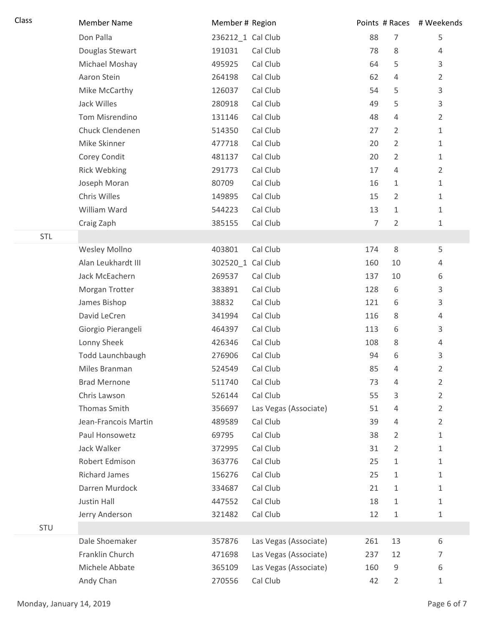| Class      | <b>Member Name</b>   | Member # Region   |                       |     |                | Points # Races # Weekends |
|------------|----------------------|-------------------|-----------------------|-----|----------------|---------------------------|
|            | Don Palla            | 236212_1 Cal Club |                       | 88  | $\overline{7}$ | 5                         |
|            | Douglas Stewart      | 191031            | Cal Club              | 78  | 8              | 4                         |
|            | Michael Moshay       | 495925            | Cal Club              | 64  | 5              | 3                         |
|            | Aaron Stein          | 264198            | Cal Club              | 62  | 4              | $\overline{2}$            |
|            | Mike McCarthy        | 126037            | Cal Club              | 54  | 5              | 3                         |
|            | Jack Willes          | 280918            | Cal Club              | 49  | 5              | $\mathsf{3}$              |
|            | Tom Misrendino       | 131146            | Cal Club              | 48  | 4              | $\overline{2}$            |
|            | Chuck Clendenen      | 514350            | Cal Club              | 27  | 2              | $1\,$                     |
|            | Mike Skinner         | 477718            | Cal Club              | 20  | $\overline{2}$ | $\mathbf{1}$              |
|            | Corey Condit         | 481137            | Cal Club              | 20  | 2              | $\mathbf{1}$              |
|            | <b>Rick Webking</b>  | 291773            | Cal Club              | 17  | 4              | $\overline{2}$            |
|            | Joseph Moran         | 80709             | Cal Club              | 16  | $\mathbf{1}$   | $\mathbf{1}$              |
|            | Chris Willes         | 149895            | Cal Club              | 15  | 2              | $\mathbf 1$               |
|            | William Ward         | 544223            | Cal Club              | 13  | 1              | $\mathbf{1}$              |
|            | Craig Zaph           | 385155            | Cal Club              | 7   | 2              | $\mathbf{1}$              |
| STL        |                      |                   |                       |     |                |                           |
|            | Wesley Mollno        | 403801            | Cal Club              | 174 | $\,8\,$        | 5                         |
|            | Alan Leukhardt III   | 302520_1 Cal Club |                       | 160 | 10             | 4                         |
|            | Jack McEachern       | 269537            | Cal Club              | 137 | 10             | 6                         |
|            | Morgan Trotter       | 383891            | Cal Club              | 128 | 6              | 3                         |
|            | James Bishop         | 38832             | Cal Club              | 121 | 6              | 3                         |
|            | David LeCren         | 341994            | Cal Club              | 116 | 8              | $\overline{4}$            |
|            | Giorgio Pierangeli   | 464397            | Cal Club              | 113 | 6              | 3                         |
|            | Lonny Sheek          | 426346            | Cal Club              | 108 | 8              | 4                         |
|            | Todd Launchbaugh     | 276906            | Cal Club              | 94  | 6              | $\mathsf{3}$              |
|            | Miles Branman        | 524549            | Cal Club              | 85  | 4              | $\overline{2}$            |
|            | <b>Brad Mernone</b>  | 511740            | Cal Club              | 73  | 4              | $\overline{2}$            |
|            | Chris Lawson         | 526144            | Cal Club              | 55  | 3              | $\overline{2}$            |
|            | Thomas Smith         | 356697            | Las Vegas (Associate) | 51  | 4              | $\overline{2}$            |
|            | Jean-Francois Martin | 489589            | Cal Club              | 39  | 4              | $\overline{2}$            |
|            | Paul Honsowetz       | 69795             | Cal Club              | 38  | $\overline{2}$ | $\mathbf{1}$              |
|            | Jack Walker          | 372995            | Cal Club              | 31  | $\overline{2}$ | $\mathbf{1}$              |
|            | Robert Edmison       | 363776            | Cal Club              | 25  | $\mathbf{1}$   | $\mathbf{1}$              |
|            | <b>Richard James</b> | 156276            | Cal Club              | 25  | 1              | $\mathbf{1}$              |
|            | Darren Murdock       | 334687            | Cal Club              | 21  | $\mathbf{1}$   | $\mathbf{1}$              |
|            | Justin Hall          | 447552            | Cal Club              | 18  | $\mathbf{1}$   | $\mathbf{1}$              |
|            | Jerry Anderson       | 321482            | Cal Club              | 12  | $\mathbf{1}$   | $\mathbf{1}$              |
| <b>STU</b> |                      |                   |                       |     |                |                           |
|            | Dale Shoemaker       | 357876            | Las Vegas (Associate) | 261 | 13             | 6                         |
|            | Franklin Church      | 471698            | Las Vegas (Associate) | 237 | 12             | 7                         |
|            | Michele Abbate       | 365109            | Las Vegas (Associate) | 160 | 9              | 6                         |
|            | Andy Chan            | 270556            | Cal Club              | 42  | $\overline{2}$ | $\mathbf{1}$              |